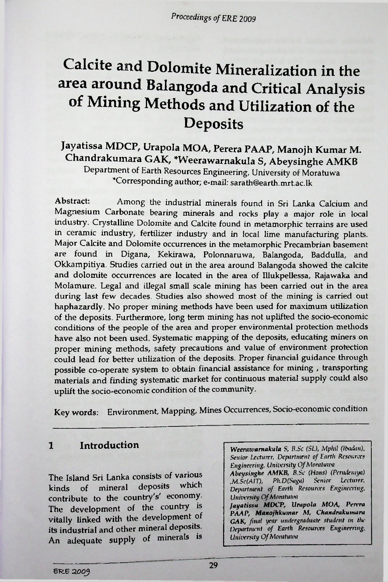# Calcite and Dolomite Mineralization in the area around Balangoda and Critical Analysis of Mining Methods and Utilization of the **Deposits**

### Jayatissa MDCP, Urapola MOA, Perera PAAP, Manojh Kumar M. Chandrakumara GAK, \*Weerawarnakula S, Abeysinghe AMKB Department of Earth Resources Engineering, University of Moratu wa Corresponding author; e-mail: [sarath@earth.mrt.ac.lk](mailto:sarath@earth.mrt.ac.lk)

Abstract: Among the industrial minerals found in Sri Lanka Calcium and Magnesium Carbonate bearing minerals and rocks play a major role in local industry. Crystalline Dolomite and Calcite found in metamorphic terrains are used in ceramic industry, fertilizer industry and in local lime manufacturing plants. Major Calcite and Dolomite occurrences in the metamorphic Precambrian basement found in Digana, Kekirawa, Polonnaruwa, Balangoda, Baddulla, and are Okkampitiya. Studies carried out in the area around Balangoda showed the calcite and dolomite occurrences are located in the area of Hlukpeilessa, Rajawaka and Molamure. Legal and illegal small scale mining has been carried out in the area during last few decades. Studies also showed most of the mining is carried out haphazardly. No proper mining methods have been used for maximum utilization of the deposits. Furthermore, long term mining has not uplifted the socio-economic conditions of the people of the area and proper environmental protection methods have also not been used. Systematic mapping of the deposits, educating miners on proper mining methods, safety precautions and value of environment protection could lead for better utilization of the deposits. Proper financial guidance through possible co-operate system to obtain financial assistance for mining , transporting materials and finding systematic market for continuous material supply could also uplift the socio-economic condition of the community.

Key words: Environment, Mapping, Mines Occurrences, Socio-economic condition

The Island Sri Lanka consists of various kinds of mineral deposits contribute to the country's' economy. The development of the country is vitally linked with the development of its industrial and other mineral deposits. An adequate supply of minerals is which

<sup>1</sup> Introduction *Weerawamakula S, B.Sc (SL), Mphil (Ibadan), Senior Lecturer, Department of Earth Resources Engineering, University QfMoratuwa Abeysinghe AMKB, B.Sc (Hons) (Peradeniya) M.Sc(AIT), Ph.D(Saga) Senior Lecturer. Department of Earth Resources Engineering. University OfMoratuwa Jayatissa MDCP, Urapola MOA, Perera PAAP, Manojhkumar M, Chandrakumara GAK, final year undergraduate student in the Department of Earth Resources Engineering.*

*University OfMoratuwa*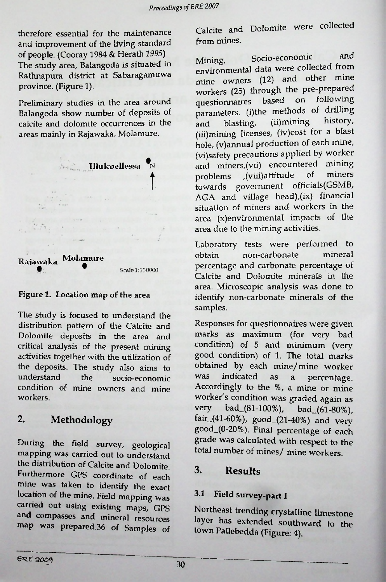therefore essential for the maintenance and improvement of the living standard of people. (Cooray 1984 & Herath *1995)* The study area, Balangoda is situated in Rathnapura district at Sabaragamuwa province. (Figure 1).

Preliminary studies in the area around Balangoda show number of deposits of calcite and dolomite occurrences in the areas mainly in Rajawaka, Molamure.



#### Figure 1. Location map of the area

The study is focused to understand the distribution pattern of the Calcite and Dolomite deposits in the area and critical analysis of the present mining activities together with the utilization of the deposits. The study also aims to<br>understand the socio-economic understand condition of mine owners and mine workers.

#### 2. Methodology

During the field survey, geological mapping was carried out to understand the distribution of Calcite and Dolomite. Furthermore GPS coordinate of each mine was taken to identify the exact location of the mine. Field mapping carried out using existing maps, GPS and compasses and mineral resources map was prepared.36 of Samples of Calcite and Dolomite were collected from mines.

Mining, Socio-economic and Mining,  $\frac{1}{2}$ environmental data were *collected* from (12) and other mine mine owners workers (25) through the pre-prepared questionnaires based on following parameters. (i)the methods of drilling<br>and blasting (ii)mining history, blasting, (ii)mining (iii)mining licenses, (iv)cost for a blast hole, (v)annual production of each mine, (vi)safety precautions applied by worker and miners, (vii) encountered mining<br>problems (viii)attitude of miners problems ,(viii)attitude towards government officials(GSMB, miners **<sup>t</sup>** AGA and village head),(ix) financial situation of miners and workers in the and area (x)environmental impacts of the area due to the mining activities.

Laboratory tests were performed to obtain percentage and carbonate percentage of Calcite and Dolomite minerals in the area. Microscopic analysis was done to identify non-carbonate minerals of the samples. Molamure obtain non-carbonate mineral

Responses for questionnaires were given marks as maximum (for very bad condition) of 5 and minimum (very good condition) of 1. The total marks obtained by each mine/mine worker<br>was indicated as a percentage the socio-economic was indicated as a percentage. Accordingly to the %, a mine or mine worker's condition was graded again as<br>very bad  $(81-100\%)$  bad  $(61-80\%)$ bad\_(81-100%), bad\_(61-80%), fair\_(41-60%), good\_(21-40%) and very good\_(0-20%). Final percentage of each grade was calculated with respect to the total number of mines/ mine workers.

### 3. Results

#### 3.1 Field survey-part I

Northeast trending crystalline limestone layer has extended southward to the town PaUebedda (Figure: 4).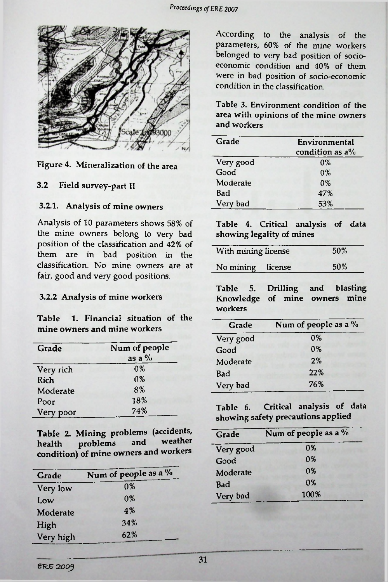

#### Figure 4. Mineralization of the area

#### 3.2 Field survey-part II **0%**

#### 3.2.1. Analysis of mine owners

Analysis of 10 parameters shows 58% of the mine owners belong to very bad position of the classification and 42% of them are in bad position in the classification. No mine owners are at fair, good and very good positions.

#### 3.2.2 Analysis of mine workers

Table 1. Financial situation of the mine owners and mine workers

|               | very good | $\mathbf{v}$ , $\mathbf{v}$                                          |
|---------------|-----------|----------------------------------------------------------------------|
| Num of people | Good      | $0\%$                                                                |
|               |           | 2%                                                                   |
| 0%            |           | 22%                                                                  |
| 0%            |           | 76%                                                                  |
| 8%            |           |                                                                      |
| 18%           |           |                                                                      |
| 74%           |           | Critical analys                                                      |
|               | as a $\%$ | Moderate<br>Bad<br>Very bad<br>Table 6.<br>$L = -i\pi = \pi \hat{b}$ |

Table 2. Mining problems (accidents, health problems and condition) of mine owners and workers

| Grade     | Num of people as a % | Moderate | 0%  |
|-----------|----------------------|----------|-----|
| Very low  | 0%                   | Bad      | 0%  |
| Low       | 0%                   | Very bad | 100 |
| Moderate  | 4%                   |          |     |
| High      | 34%                  |          |     |
| Very high | 62%                  |          |     |

According to the analysis of the parameters, 60% of the mine workers belonged to very bad position of socioeconomic condition and 40% of them were in bad position of socio-economic condition in the classification.

Table 3. Environment condition of the area with opinions of the mine owners and workers

| Grade     | Environmental<br>condition as $a\%$ |  |
|-----------|-------------------------------------|--|
| Very good | 0%                                  |  |
| Good      | $0\%$                               |  |
| Moderate  | 0%                                  |  |
| Bad       | 47%                                 |  |
| Very bad  | 53%                                 |  |

Table 4. Critical analysis of data showing legality of mines

| With mining license | 50% |
|---------------------|-----|
| No mining license   | 50% |

Table 5. Drilling and blasting of mine owners mine workers

| Grade     | Num of people as a % |
|-----------|----------------------|
| Very good | 0%                   |
| Good      | 0%                   |
| Moderate  | 2%                   |
| Bad       | 22%                  |
| Very bad  | 76%                  |
|           |                      |

Table 6. Critical analysis of data showing safety precautions applied

| blems (accidents,                  | Grade     | Num of people as a % |
|------------------------------------|-----------|----------------------|
| weather<br>and<br>ners and workers | Very good | 0%                   |
|                                    | Good      | 0%                   |
| eople as a %                       | Moderate  | $0*$                 |
| 0%                                 | Bad       | 0%                   |
| 0%                                 | Very bad  | 100%                 |